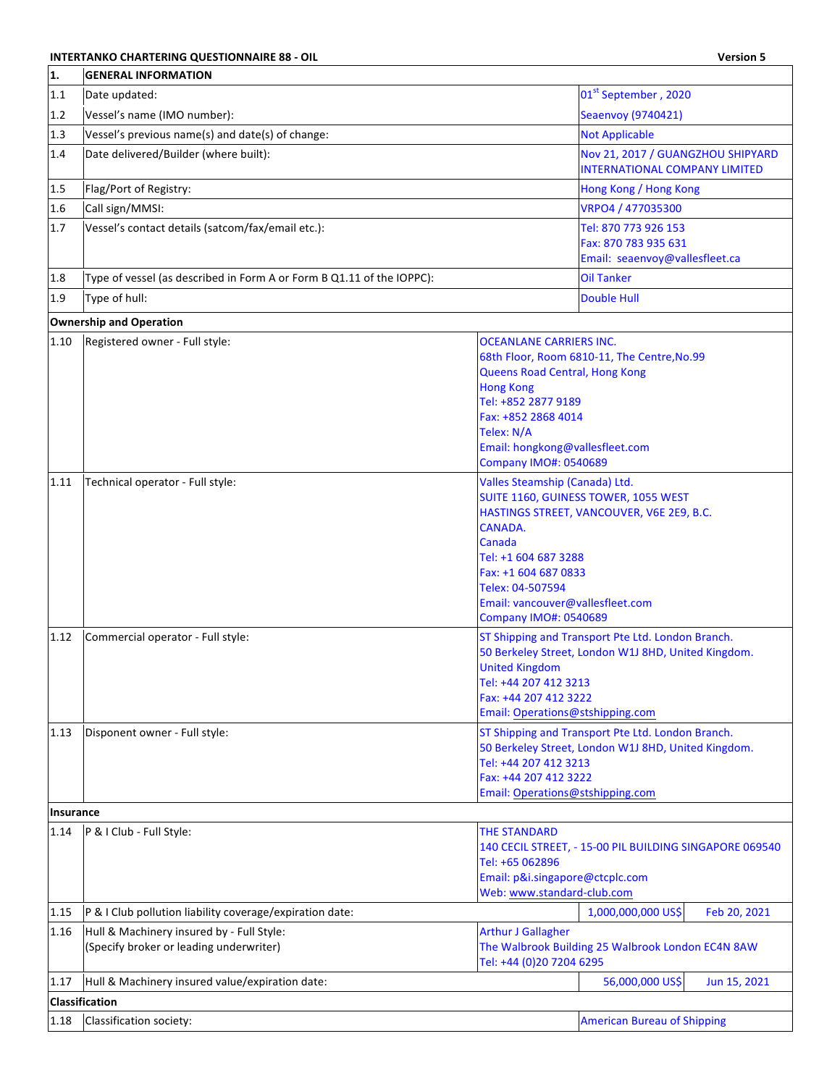## **INTERTANKO CHARTERING QUESTIONNAIRE 88 - OIL Version 5**

 $\overline{\phantom{a}}$ 

| 1.1       | Date updated:                                                                        |                                                                                                                                                                                                                            | 01st September, 2020                                                                                     |
|-----------|--------------------------------------------------------------------------------------|----------------------------------------------------------------------------------------------------------------------------------------------------------------------------------------------------------------------------|----------------------------------------------------------------------------------------------------------|
| 1.2       | Vessel's name (IMO number):                                                          |                                                                                                                                                                                                                            | Seaenvoy (9740421)                                                                                       |
| 1.3       | Vessel's previous name(s) and date(s) of change:                                     |                                                                                                                                                                                                                            | <b>Not Applicable</b>                                                                                    |
| 1.4       | Date delivered/Builder (where built):                                                |                                                                                                                                                                                                                            | Nov 21, 2017 / GUANGZHOU SHIPYARD<br><b>INTERNATIONAL COMPANY LIMITED</b>                                |
| 1.5       | Flag/Port of Registry:                                                               |                                                                                                                                                                                                                            | Hong Kong / Hong Kong                                                                                    |
| 1.6       | Call sign/MMSI:                                                                      |                                                                                                                                                                                                                            | VRPO4 / 477035300                                                                                        |
| 1.7       | Vessel's contact details (satcom/fax/email etc.):                                    |                                                                                                                                                                                                                            | Tel: 870 773 926 153<br>Fax: 870 783 935 631<br>Email: seaenvoy@vallesfleet.ca                           |
| 1.8       | Type of vessel (as described in Form A or Form B Q1.11 of the IOPPC):                |                                                                                                                                                                                                                            | <b>Oil Tanker</b>                                                                                        |
| 1.9       | Type of hull:                                                                        |                                                                                                                                                                                                                            | <b>Double Hull</b>                                                                                       |
|           | <b>Ownership and Operation</b>                                                       |                                                                                                                                                                                                                            |                                                                                                          |
| 1.10      | Registered owner - Full style:                                                       | <b>OCEANLANE CARRIERS INC.</b><br><b>Queens Road Central, Hong Kong</b><br><b>Hong Kong</b><br>Tel: +852 2877 9189<br>Fax: +852 2868 4014<br>Telex: N/A<br>Email: hongkong@vallesfleet.com<br><b>Company IMO#: 0540689</b> | 68th Floor, Room 6810-11, The Centre, No.99                                                              |
| 1.11      | Technical operator - Full style:                                                     | Valles Steamship (Canada) Ltd.<br>CANADA.<br>Canada<br>Tel: +1 604 687 3288<br>Fax: +1 604 687 0833<br>Telex: 04-507594<br>Email: vancouver@vallesfleet.com<br><b>Company IMO#: 0540689</b>                                | SUITE 1160, GUINESS TOWER, 1055 WEST<br>HASTINGS STREET, VANCOUVER, V6E 2E9, B.C.                        |
| 1.12      | Commercial operator - Full style:                                                    | <b>United Kingdom</b><br>Tel: +44 207 412 3213<br>Fax: +44 207 412 3222<br>Email: Operations@stshipping.com                                                                                                                | ST Shipping and Transport Pte Ltd. London Branch.<br>50 Berkeley Street, London W1J 8HD, United Kingdom. |
| 1.13      | Disponent owner - Full style:                                                        | Tel: +44 207 412 3213<br>Fax: +44 207 412 3222<br>Email: Operations@stshipping.com                                                                                                                                         | ST Shipping and Transport Pte Ltd. London Branch.<br>50 Berkeley Street, London W1J 8HD, United Kingdom. |
| Insurance |                                                                                      |                                                                                                                                                                                                                            |                                                                                                          |
| 1.14      | P & I Club - Full Style:                                                             | <b>THE STANDARD</b><br>Tel: +65 062896<br>Email: p&i.singapore@ctcplc.com<br>Web: www.standard-club.com                                                                                                                    | 140 CECIL STREET, - 15-00 PIL BUILDING SINGAPORE 069540                                                  |
| 1.15      | P & I Club pollution liability coverage/expiration date:                             |                                                                                                                                                                                                                            | 1,000,000,000 US\$<br>Feb 20, 2021                                                                       |
| 1.16      | Hull & Machinery insured by - Full Style:<br>(Specify broker or leading underwriter) | <b>Arthur J Gallagher</b><br>Tel: +44 (0)20 7204 6295                                                                                                                                                                      | The Walbrook Building 25 Walbrook London EC4N 8AW                                                        |
| 1.17      | Hull & Machinery insured value/expiration date:                                      |                                                                                                                                                                                                                            | 56,000,000 US\$<br>Jun 15, 2021                                                                          |
|           | <b>Classification</b>                                                                |                                                                                                                                                                                                                            |                                                                                                          |
| 1.18      | Classification society:                                                              |                                                                                                                                                                                                                            | <b>American Bureau of Shipping</b>                                                                       |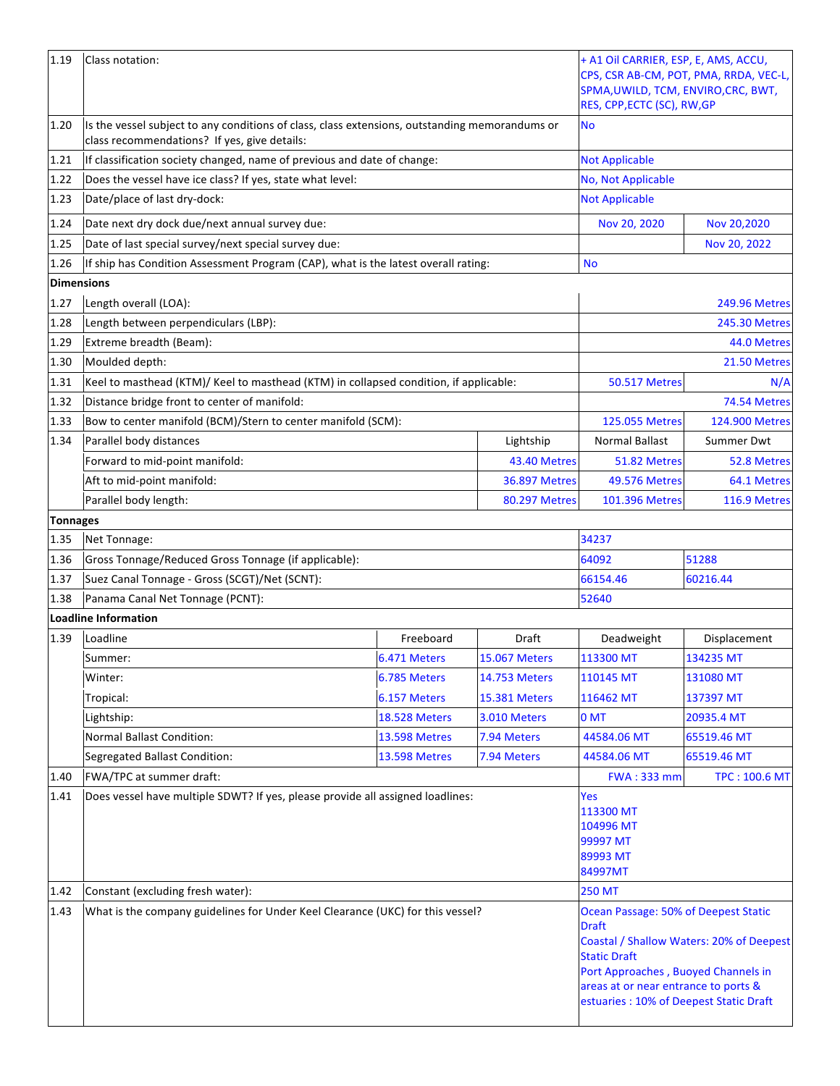| 1.19              | Class notation:                                                                                                                                |                      |                      | + A1 Oil CARRIER, ESP, E, AMS, ACCU,<br>CPS, CSR AB-CM, POT, PMA, RRDA, VEC-L,<br>SPMA, UWILD, TCM, ENVIRO, CRC, BWT,<br>RES, CPP, ECTC (SC), RW, GP                                                 |                                          |
|-------------------|------------------------------------------------------------------------------------------------------------------------------------------------|----------------------|----------------------|------------------------------------------------------------------------------------------------------------------------------------------------------------------------------------------------------|------------------------------------------|
| 1.20              | Is the vessel subject to any conditions of class, class extensions, outstanding memorandums or<br>class recommendations? If yes, give details: |                      | No                   |                                                                                                                                                                                                      |                                          |
| 1.21              | If classification society changed, name of previous and date of change:                                                                        |                      |                      | <b>Not Applicable</b>                                                                                                                                                                                |                                          |
| 1.22              | Does the vessel have ice class? If yes, state what level:                                                                                      |                      |                      | No, Not Applicable                                                                                                                                                                                   |                                          |
| 1.23              | Date/place of last dry-dock:                                                                                                                   |                      |                      | <b>Not Applicable</b>                                                                                                                                                                                |                                          |
| 1.24              | Date next dry dock due/next annual survey due:                                                                                                 |                      |                      | Nov 20, 2020                                                                                                                                                                                         | Nov 20,2020                              |
| 1.25              | Date of last special survey/next special survey due:                                                                                           |                      |                      |                                                                                                                                                                                                      | Nov 20, 2022                             |
| 1.26              | If ship has Condition Assessment Program (CAP), what is the latest overall rating:                                                             |                      |                      | <b>No</b>                                                                                                                                                                                            |                                          |
| <b>Dimensions</b> |                                                                                                                                                |                      |                      |                                                                                                                                                                                                      |                                          |
| 1.27              | Length overall (LOA):                                                                                                                          |                      |                      |                                                                                                                                                                                                      | <b>249.96 Metres</b>                     |
| 1.28              | Length between perpendiculars (LBP):                                                                                                           |                      |                      |                                                                                                                                                                                                      | 245.30 Metres                            |
| 1.29              | Extreme breadth (Beam):                                                                                                                        |                      |                      |                                                                                                                                                                                                      | 44.0 Metres                              |
| 1.30              | Moulded depth:                                                                                                                                 |                      |                      |                                                                                                                                                                                                      | 21.50 Metres                             |
| 1.31              | Keel to masthead (KTM)/ Keel to masthead (KTM) in collapsed condition, if applicable:                                                          |                      |                      | <b>50.517 Metres</b>                                                                                                                                                                                 | N/A                                      |
| 1.32              | Distance bridge front to center of manifold:                                                                                                   |                      |                      |                                                                                                                                                                                                      | 74.54 Metres                             |
| 1.33              | Bow to center manifold (BCM)/Stern to center manifold (SCM):                                                                                   |                      |                      | 125.055 Metres                                                                                                                                                                                       | 124.900 Metres                           |
| 1.34              | Parallel body distances                                                                                                                        |                      | Lightship            | Normal Ballast                                                                                                                                                                                       | Summer Dwt                               |
|                   | Forward to mid-point manifold:                                                                                                                 |                      | 43.40 Metres         | 51.82 Metres                                                                                                                                                                                         | 52.8 Metres                              |
|                   | Aft to mid-point manifold:                                                                                                                     |                      | <b>36.897 Metres</b> | <b>49.576 Metres</b>                                                                                                                                                                                 | 64.1 Metres                              |
|                   | Parallel body length:                                                                                                                          |                      | 80.297 Metres        | 101.396 Metres                                                                                                                                                                                       | 116.9 Metres                             |
| <b>Tonnages</b>   |                                                                                                                                                |                      |                      |                                                                                                                                                                                                      |                                          |
| 1.35              | Net Tonnage:                                                                                                                                   |                      |                      | 34237                                                                                                                                                                                                |                                          |
| 1.36              | Gross Tonnage/Reduced Gross Tonnage (if applicable):                                                                                           |                      |                      | 64092                                                                                                                                                                                                | 51288                                    |
| 1.37              | Suez Canal Tonnage - Gross (SCGT)/Net (SCNT):                                                                                                  |                      |                      | 66154.46                                                                                                                                                                                             | 60216.44                                 |
| 1.38              | Panama Canal Net Tonnage (PCNT):                                                                                                               |                      |                      | 52640                                                                                                                                                                                                |                                          |
|                   | <b>Loadline Information</b>                                                                                                                    |                      |                      |                                                                                                                                                                                                      |                                          |
| 1.39              | Loadline                                                                                                                                       | Freeboard            | Draft                | Deadweight                                                                                                                                                                                           | Displacement                             |
|                   | Summer:                                                                                                                                        | 6.471 Meters         | <b>15.067 Meters</b> | 113300 MT                                                                                                                                                                                            | 134235 MT                                |
|                   | Winter:                                                                                                                                        | 6.785 Meters         | 14.753 Meters        | 110145 MT                                                                                                                                                                                            | 131080 MT                                |
|                   | Tropical:                                                                                                                                      | 6.157 Meters         | <b>15.381 Meters</b> | 116462 MT                                                                                                                                                                                            | 137397 MT                                |
|                   | Lightship:                                                                                                                                     | <b>18.528 Meters</b> | 3.010 Meters         | $0$ MT                                                                                                                                                                                               | 20935.4 MT                               |
|                   | <b>Normal Ballast Condition:</b>                                                                                                               | <b>13.598 Metres</b> | 7.94 Meters          | 44584.06 MT                                                                                                                                                                                          | 65519.46 MT                              |
|                   | Segregated Ballast Condition:                                                                                                                  | <b>13.598 Metres</b> | 7.94 Meters          | 44584.06 MT                                                                                                                                                                                          | 65519.46 MT                              |
| 1.40              | FWA/TPC at summer draft:                                                                                                                       |                      |                      | <b>FWA: 333 mm</b>                                                                                                                                                                                   | <b>TPC: 100.6 MT</b>                     |
| 1.41              | Does vessel have multiple SDWT? If yes, please provide all assigned loadlines:                                                                 |                      |                      | Yes<br>113300 MT<br>104996 MT<br>99997 MT<br>89993 MT<br>84997MT                                                                                                                                     |                                          |
| 1.42              | Constant (excluding fresh water):                                                                                                              |                      |                      | <b>250 MT</b>                                                                                                                                                                                        |                                          |
| 1.43              | What is the company guidelines for Under Keel Clearance (UKC) for this vessel?                                                                 |                      |                      | Ocean Passage: 50% of Deepest Static<br><b>Draft</b><br><b>Static Draft</b><br>Port Approaches, Buoyed Channels in<br>areas at or near entrance to ports &<br>estuaries: 10% of Deepest Static Draft | Coastal / Shallow Waters: 20% of Deepest |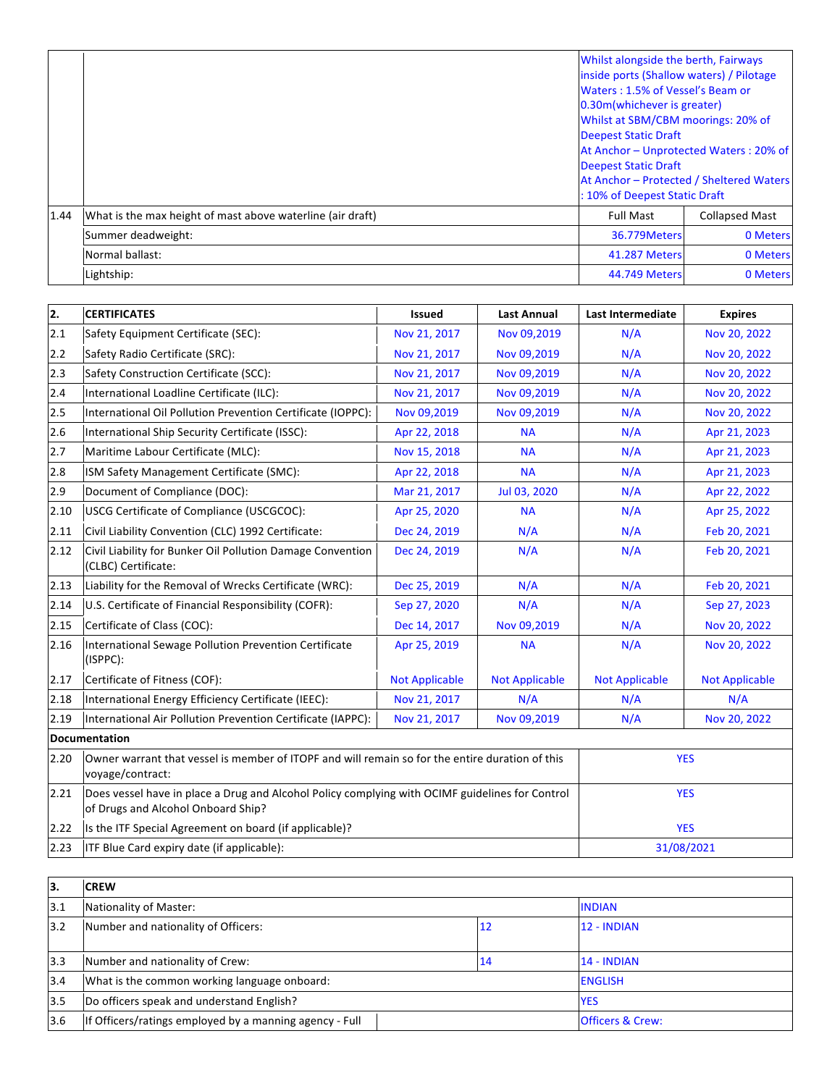|      |                                                            | Whilst alongside the berth, Fairways<br>inside ports (Shallow waters) / Pilotage<br>Waters: 1.5% of Vessel's Beam or<br>0.30m(whichever is greater)<br>Whilst at SBM/CBM moorings: 20% of<br><b>Deepest Static Draft</b><br>At Anchor - Unprotected Waters: 20% of<br><b>Deepest Static Draft</b><br>At Anchor - Protected / Sheltered Waters<br>: 10% of Deepest Static Draft |                       |
|------|------------------------------------------------------------|--------------------------------------------------------------------------------------------------------------------------------------------------------------------------------------------------------------------------------------------------------------------------------------------------------------------------------------------------------------------------------|-----------------------|
| 1.44 | What is the max height of mast above waterline (air draft) | <b>Full Mast</b>                                                                                                                                                                                                                                                                                                                                                               | <b>Collapsed Mast</b> |
|      | Summer deadweight:                                         | 36.779Meters                                                                                                                                                                                                                                                                                                                                                                   | 0 Meters              |
|      | Normal ballast:                                            | <b>41.287 Meters</b>                                                                                                                                                                                                                                                                                                                                                           | 0 Meters              |
|      | Lightship:                                                 | 44.749 Meters                                                                                                                                                                                                                                                                                                                                                                  | 0 Meters              |

| 2.   | <b>CERTIFICATES</b>                                                                                                                   | Issued                | <b>Last Annual</b>    | <b>Last Intermediate</b> | <b>Expires</b>        |
|------|---------------------------------------------------------------------------------------------------------------------------------------|-----------------------|-----------------------|--------------------------|-----------------------|
| 2.1  | Safety Equipment Certificate (SEC):                                                                                                   | Nov 21, 2017          | Nov 09,2019           | N/A                      | Nov 20, 2022          |
| 2.2  | Safety Radio Certificate (SRC):                                                                                                       | Nov 21, 2017          | Nov 09,2019           | N/A                      | Nov 20, 2022          |
| 2.3  | Safety Construction Certificate (SCC):                                                                                                | Nov 21, 2017          | Nov 09,2019           | N/A                      | Nov 20, 2022          |
| 2.4  | International Loadline Certificate (ILC):                                                                                             | Nov 21, 2017          | Nov 09,2019           | N/A                      | Nov 20, 2022          |
| 2.5  | International Oil Pollution Prevention Certificate (IOPPC):                                                                           | Nov 09,2019           | Nov 09,2019           | N/A                      | Nov 20, 2022          |
| 2.6  | International Ship Security Certificate (ISSC):                                                                                       | Apr 22, 2018          | <b>NA</b>             | N/A                      | Apr 21, 2023          |
| 2.7  | Maritime Labour Certificate (MLC):                                                                                                    | Nov 15, 2018          | <b>NA</b>             | N/A                      | Apr 21, 2023          |
| 2.8  | ISM Safety Management Certificate (SMC):                                                                                              | Apr 22, 2018          | <b>NA</b>             | N/A                      | Apr 21, 2023          |
| 2.9  | Document of Compliance (DOC):                                                                                                         | Mar 21, 2017          | Jul 03, 2020          | N/A                      | Apr 22, 2022          |
| 2.10 | USCG Certificate of Compliance (USCGCOC):                                                                                             | Apr 25, 2020          | <b>NA</b>             | N/A                      | Apr 25, 2022          |
| 2.11 | Civil Liability Convention (CLC) 1992 Certificate:                                                                                    | Dec 24, 2019          | N/A                   | N/A                      | Feb 20, 2021          |
| 2.12 | Civil Liability for Bunker Oil Pollution Damage Convention<br>(CLBC) Certificate:                                                     | Dec 24, 2019          | N/A                   | N/A                      | Feb 20, 2021          |
| 2.13 | Liability for the Removal of Wrecks Certificate (WRC):                                                                                | Dec 25, 2019          | N/A                   | N/A                      | Feb 20, 2021          |
| 2.14 | U.S. Certificate of Financial Responsibility (COFR):                                                                                  | Sep 27, 2020          | N/A                   | N/A                      | Sep 27, 2023          |
| 2.15 | Certificate of Class (COC):                                                                                                           | Dec 14, 2017          | Nov 09,2019           | N/A                      | Nov 20, 2022          |
| 2.16 | International Sewage Pollution Prevention Certificate<br>(ISPPC):                                                                     | Apr 25, 2019          | <b>NA</b>             | N/A                      | Nov 20, 2022          |
| 2.17 | Certificate of Fitness (COF):                                                                                                         | <b>Not Applicable</b> | <b>Not Applicable</b> | <b>Not Applicable</b>    | <b>Not Applicable</b> |
| 2.18 | International Energy Efficiency Certificate (IEEC):                                                                                   | Nov 21, 2017          | N/A                   | N/A                      | N/A                   |
| 2.19 | International Air Pollution Prevention Certificate (IAPPC):                                                                           | Nov 21, 2017          | Nov 09,2019           | N/A                      | Nov 20, 2022          |
|      | <b>Documentation</b>                                                                                                                  |                       |                       |                          |                       |
| 2.20 | Owner warrant that vessel is member of ITOPF and will remain so for the entire duration of this<br>voyage/contract:                   |                       |                       | <b>YES</b>               |                       |
| 2.21 | Does vessel have in place a Drug and Alcohol Policy complying with OCIMF guidelines for Control<br>of Drugs and Alcohol Onboard Ship? |                       |                       | <b>YES</b>               |                       |
| 2.22 | Is the ITF Special Agreement on board (if applicable)?                                                                                |                       |                       | <b>YES</b>               |                       |
| 2.23 | ITF Blue Card expiry date (if applicable):                                                                                            |                       |                       | 31/08/2021               |                       |

| 13. | <b>ICREW</b>                                            |  |            |                             |  |
|-----|---------------------------------------------------------|--|------------|-----------------------------|--|
| 3.1 | Nationality of Master:                                  |  |            | <b>INDIAN</b>               |  |
| 3.2 | Number and nationality of Officers:<br>12               |  |            | $12 - INDIAN$               |  |
| 3.3 | Number and nationality of Crew:                         |  | 14         | $14 - INDIAN$               |  |
| 3.4 | What is the common working language onboard:            |  |            | <b>ENGLISH</b>              |  |
| 3.5 | Do officers speak and understand English?               |  | <b>YES</b> |                             |  |
| 3.6 | If Officers/ratings employed by a manning agency - Full |  |            | <b>Officers &amp; Crew:</b> |  |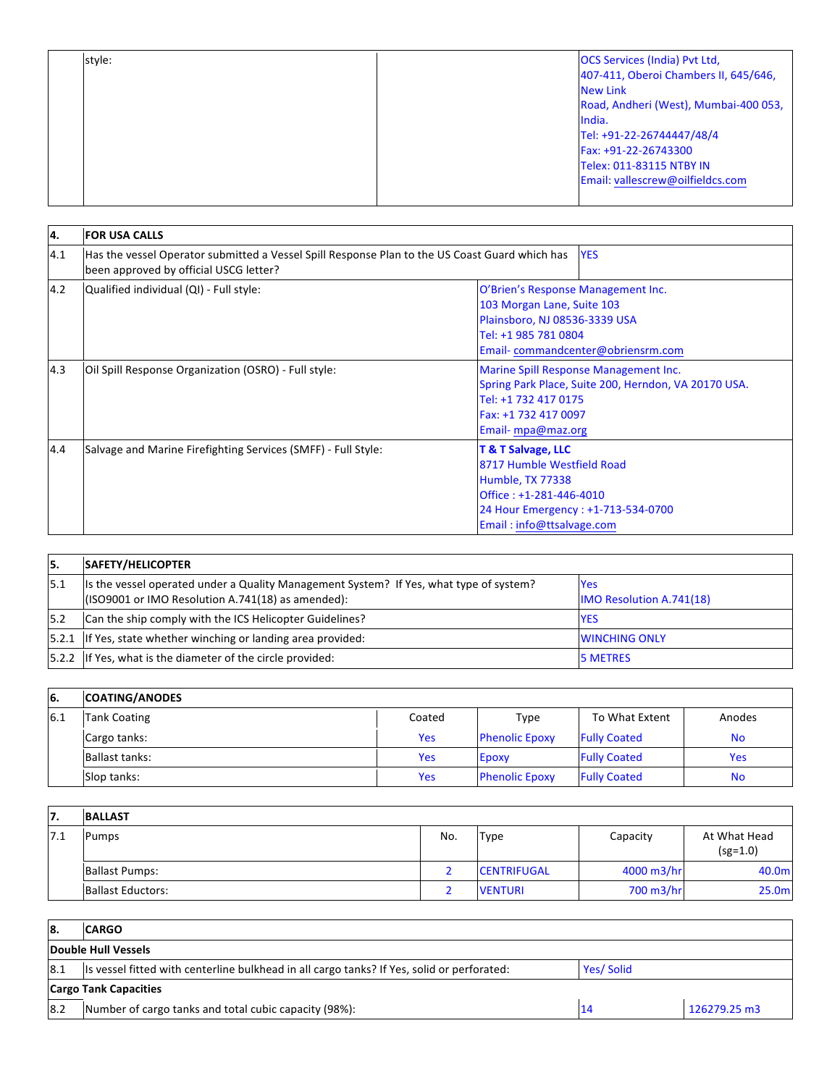| style: | <b>OCS Services (India) Pvt Ltd,</b>  |
|--------|---------------------------------------|
|        | 407-411, Oberoi Chambers II, 645/646, |
|        | <b>New Link</b>                       |
|        | Road, Andheri (West), Mumbai-400 053, |
|        | India.                                |
|        | Tel: +91-22-26744447/48/4             |
|        | Fax: +91-22-26743300                  |
|        | Telex: 011-83115 NTBY IN              |
|        | Email: vallescrew@oilfieldcs.com      |
|        |                                       |

| 14. | <b>FOR USA CALLS</b>                                                                                                                                   |                                                                                                                                                                               |  |
|-----|--------------------------------------------------------------------------------------------------------------------------------------------------------|-------------------------------------------------------------------------------------------------------------------------------------------------------------------------------|--|
| 4.1 | Has the vessel Operator submitted a Vessel Spill Response Plan to the US Coast Guard which has<br><b>YES</b><br>been approved by official USCG letter? |                                                                                                                                                                               |  |
| 4.2 | Qualified individual (QI) - Full style:                                                                                                                | O'Brien's Response Management Inc.<br>103 Morgan Lane, Suite 103<br>Plainsboro, NJ 08536-3339 USA<br>Tel: +1 985 781 0804<br>Email-commandcenter@obriensrm.com                |  |
| 4.3 | Oil Spill Response Organization (OSRO) - Full style:                                                                                                   | Marine Spill Response Management Inc.<br>Spring Park Place, Suite 200, Herndon, VA 20170 USA.<br>Tel: +1 732 417 0175<br>Fax: +1 732 417 0097<br>Email-mpa@maz.org            |  |
| 4.4 | Salvage and Marine Firefighting Services (SMFF) - Full Style:                                                                                          | <b>T &amp; T Salvage, LLC</b><br>8717 Humble Westfield Road<br>Humble, TX 77338<br>Office: +1-281-446-4010<br>24 Hour Emergency: +1-713-534-0700<br>Email: info@ttsalvage.com |  |

| 15.  | <b>SAFETY/HELICOPTER</b>                                                                                                                     |                                               |
|------|----------------------------------------------------------------------------------------------------------------------------------------------|-----------------------------------------------|
| 15.1 | Its the vessel operated under a Quality Management System? If Yes, what type of system?<br>(ISO9001 or IMO Resolution A.741(18) as amended): | <b>Yes</b><br><b>IMO Resolution A.741(18)</b> |
| 15.2 | Can the ship comply with the ICS Helicopter Guidelines?                                                                                      | <b>YES</b>                                    |
|      | [5.2.1 If Yes, state whether winching or landing area provided:                                                                              | <b>WINCHING ONLY</b>                          |
|      | [5.2.2 If Yes, what is the diameter of the circle provided:                                                                                  | <b>5 METRES</b>                               |

| <b>6.</b> | <b>COATING/ANODES</b> |            |                       |                     |            |
|-----------|-----------------------|------------|-----------------------|---------------------|------------|
| 6.1       | <b>Tank Coating</b>   | Coated     | Type                  | To What Extent      | Anodes     |
|           | Cargo tanks:          | <b>Yes</b> | <b>Phenolic Epoxy</b> | <b>Fully Coated</b> | No.        |
|           | Ballast tanks:        | <b>Yes</b> | Epoxy                 | <b>Fully Coated</b> | <b>Yes</b> |
|           | Slop tanks:           | Yes        | <b>Phenolic Epoxy</b> | <b>Fully Coated</b> | <b>No</b>  |

| 17.  | <b>BALLAST</b>           |     |                    |            |                            |
|------|--------------------------|-----|--------------------|------------|----------------------------|
| 17.1 | <b>Pumps</b>             | No. | <b>Type</b>        | Capacity   | At What Head<br>$(sg=1.0)$ |
|      | <b>Ballast Pumps:</b>    |     | <b>CENTRIFUGAL</b> | 4000 m3/hr | 40.0m                      |
|      | <b>Ballast Eductors:</b> |     | <b>VENTURI</b>     | 700 m3/hr  | 25.0 <sub>m</sub>          |

| <b>8.</b> | <b>CARGO</b>                                                                                             |  |              |
|-----------|----------------------------------------------------------------------------------------------------------|--|--------------|
|           | Double Hull Vessels                                                                                      |  |              |
| 8.1       | Its vessel fitted with centerline bulkhead in all cargo tanks? If Yes, solid or perforated:<br>Yes/Solid |  |              |
|           | <b>Cargo Tank Capacities</b>                                                                             |  |              |
| 8.2       | Number of cargo tanks and total cubic capacity (98%):                                                    |  | 126279.25 m3 |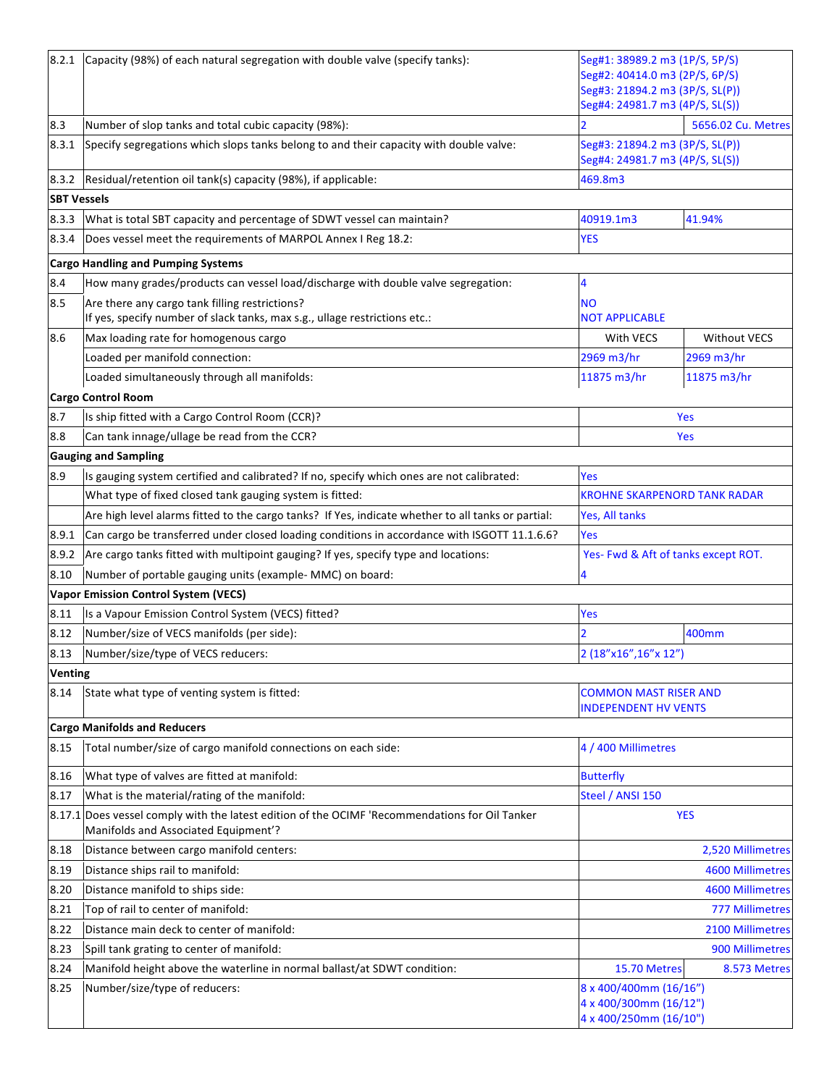| 8.2.1              | Capacity (98%) of each natural segregation with double valve (specify tanks):                                                   | Seg#1: 38989.2 m3 (1P/S, 5P/S)<br>Seg#2: 40414.0 m3 (2P/S, 6P/S)<br>Seg#3: 21894.2 m3 (3P/S, SL(P)) |                         |
|--------------------|---------------------------------------------------------------------------------------------------------------------------------|-----------------------------------------------------------------------------------------------------|-------------------------|
|                    |                                                                                                                                 | Seg#4: 24981.7 m3 (4P/S, SL(S))                                                                     |                         |
| 8.3                | Number of slop tanks and total cubic capacity (98%):                                                                            |                                                                                                     | 5656.02 Cu. Metres      |
| 8.3.1              | Specify segregations which slops tanks belong to and their capacity with double valve:                                          | Seg#3: 21894.2 m3 (3P/S, SL(P))<br>Seg#4: 24981.7 m3 (4P/S, SL(S))                                  |                         |
| 8.3.2              | Residual/retention oil tank(s) capacity (98%), if applicable:                                                                   | 469.8m3                                                                                             |                         |
| <b>SBT Vessels</b> |                                                                                                                                 |                                                                                                     |                         |
| 8.3.3              | What is total SBT capacity and percentage of SDWT vessel can maintain?                                                          | 40919.1m3                                                                                           | 41.94%                  |
| 8.3.4              | Does vessel meet the requirements of MARPOL Annex I Reg 18.2:                                                                   | <b>YES</b>                                                                                          |                         |
|                    | <b>Cargo Handling and Pumping Systems</b>                                                                                       |                                                                                                     |                         |
| 8.4                | How many grades/products can vessel load/discharge with double valve segregation:                                               | 4                                                                                                   |                         |
| 8.5                | Are there any cargo tank filling restrictions?<br>If yes, specify number of slack tanks, max s.g., ullage restrictions etc.:    | <b>NO</b><br><b>NOT APPLICABLE</b>                                                                  |                         |
| 8.6                | Max loading rate for homogenous cargo                                                                                           | With VECS                                                                                           | <b>Without VECS</b>     |
|                    | Loaded per manifold connection:                                                                                                 | 2969 m3/hr                                                                                          | 2969 m3/hr              |
|                    | Loaded simultaneously through all manifolds:                                                                                    | 11875 m3/hr                                                                                         | 11875 m3/hr             |
|                    | <b>Cargo Control Room</b>                                                                                                       |                                                                                                     |                         |
| 8.7                | Is ship fitted with a Cargo Control Room (CCR)?                                                                                 |                                                                                                     | <b>Yes</b>              |
| 8.8                | Can tank innage/ullage be read from the CCR?                                                                                    |                                                                                                     | Yes                     |
|                    | <b>Gauging and Sampling</b>                                                                                                     |                                                                                                     |                         |
| 8.9                | Is gauging system certified and calibrated? If no, specify which ones are not calibrated:                                       | Yes                                                                                                 |                         |
|                    | What type of fixed closed tank gauging system is fitted:                                                                        | <b>KROHNE SKARPENORD TANK RADAR</b>                                                                 |                         |
|                    | Are high level alarms fitted to the cargo tanks? If Yes, indicate whether to all tanks or partial:                              | Yes, All tanks                                                                                      |                         |
| 8.9.1              | Can cargo be transferred under closed loading conditions in accordance with ISGOTT 11.1.6.6?                                    | Yes                                                                                                 |                         |
| 8.9.2              | Are cargo tanks fitted with multipoint gauging? If yes, specify type and locations:                                             | Yes- Fwd & Aft of tanks except ROT.                                                                 |                         |
| 8.10               | Number of portable gauging units (example- MMC) on board:                                                                       | 4                                                                                                   |                         |
|                    | <b>Vapor Emission Control System (VECS)</b>                                                                                     |                                                                                                     |                         |
| 8.11               | Is a Vapour Emission Control System (VECS) fitted?                                                                              | Yes                                                                                                 |                         |
| 8.12               | Number/size of VECS manifolds (per side):                                                                                       |                                                                                                     | 400mm                   |
| 8.13               | Number/size/type of VECS reducers:                                                                                              | 2 (18"x16", 16"x 12")                                                                               |                         |
| Venting            |                                                                                                                                 |                                                                                                     |                         |
| 8.14               | State what type of venting system is fitted:                                                                                    | <b>COMMON MAST RISER AND</b><br><b>INDEPENDENT HV VENTS</b>                                         |                         |
|                    | <b>Cargo Manifolds and Reducers</b>                                                                                             |                                                                                                     |                         |
| 8.15               | Total number/size of cargo manifold connections on each side:                                                                   | 4 / 400 Millimetres                                                                                 |                         |
| 8.16               | What type of valves are fitted at manifold:                                                                                     | <b>Butterfly</b>                                                                                    |                         |
| 8.17               | What is the material/rating of the manifold:                                                                                    | Steel / ANSI 150                                                                                    |                         |
| 8.17.1             | Does vessel comply with the latest edition of the OCIMF 'Recommendations for Oil Tanker<br>Manifolds and Associated Equipment'? | <b>YES</b>                                                                                          |                         |
| 8.18               | Distance between cargo manifold centers:                                                                                        | 2,520 Millimetres                                                                                   |                         |
| 8.19               | Distance ships rail to manifold:                                                                                                |                                                                                                     | <b>4600 Millimetres</b> |
| 8.20               | Distance manifold to ships side:                                                                                                |                                                                                                     | <b>4600 Millimetres</b> |
| 8.21               | Top of rail to center of manifold:                                                                                              |                                                                                                     | <b>777 Millimetres</b>  |
| 8.22               | Distance main deck to center of manifold:                                                                                       |                                                                                                     | 2100 Millimetres        |
| 8.23               | Spill tank grating to center of manifold:                                                                                       |                                                                                                     | 900 Millimetres         |
| 8.24               | Manifold height above the waterline in normal ballast/at SDWT condition:                                                        | 15.70 Metres                                                                                        | 8.573 Metres            |
| 8.25               | Number/size/type of reducers:                                                                                                   | 8 x 400/400mm (16/16")<br>4 x 400/300mm (16/12")<br>4 x 400/250mm (16/10")                          |                         |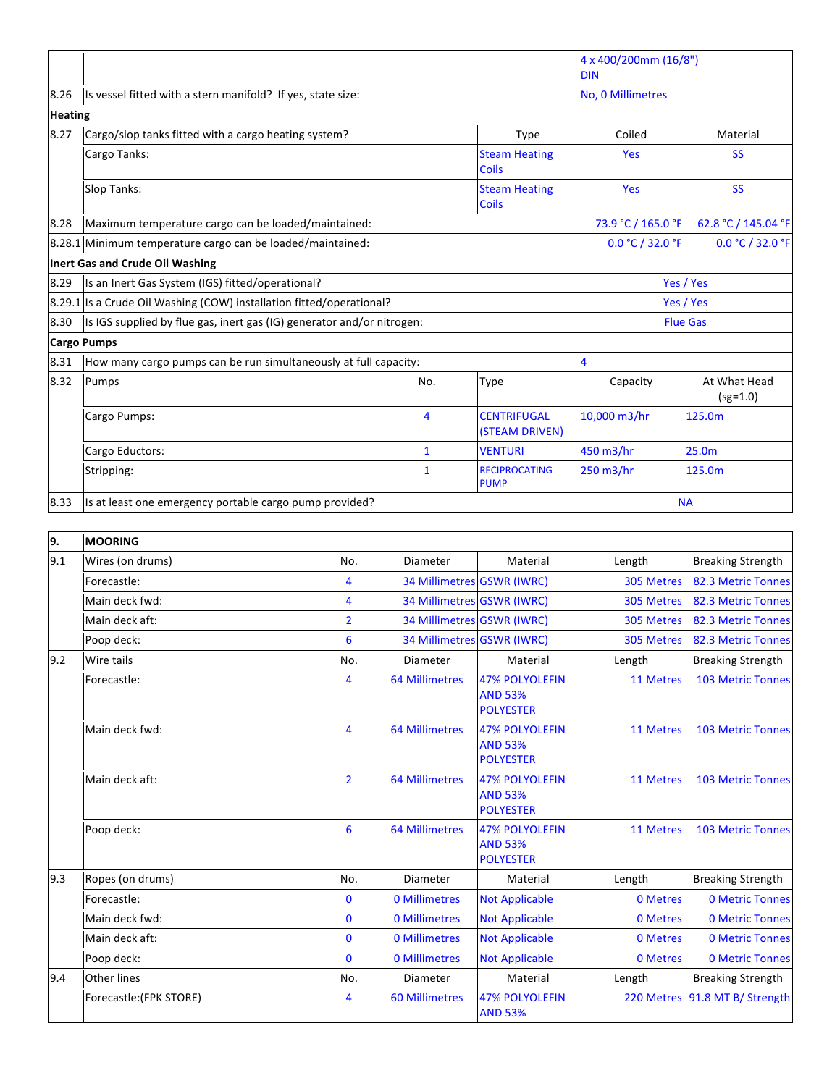|                |                                                                        |                                      |                                      | 4 x 400/200mm (16/8")<br><b>DIN</b> |                            |
|----------------|------------------------------------------------------------------------|--------------------------------------|--------------------------------------|-------------------------------------|----------------------------|
| 8.26           | Is vessel fitted with a stern manifold? If yes, state size:            |                                      |                                      | No, 0 Millimetres                   |                            |
| <b>Heating</b> |                                                                        |                                      |                                      |                                     |                            |
| 8.27           | Cargo/slop tanks fitted with a cargo heating system?                   | Type                                 | Coiled                               | Material                            |                            |
|                | Cargo Tanks:                                                           | <b>Steam Heating</b><br>Coils        | Yes                                  | <b>SS</b>                           |                            |
|                | Slop Tanks:                                                            | <b>Steam Heating</b><br><b>Coils</b> | Yes                                  | <b>SS</b>                           |                            |
| 8.28           | Maximum temperature cargo can be loaded/maintained:                    |                                      |                                      | 73.9 °C / 165.0 °F                  | 62.8 °C / 145.04 °F        |
|                | 8.28.1 Minimum temperature cargo can be loaded/maintained:             | 0.0 °C / 32.0 °F                     | 0.0 °C / 32.0 °F                     |                                     |                            |
|                | <b>Inert Gas and Crude Oil Washing</b>                                 |                                      |                                      |                                     |                            |
| 8.29           | Is an Inert Gas System (IGS) fitted/operational?                       |                                      |                                      | Yes / Yes                           |                            |
|                | 8.29.1 Is a Crude Oil Washing (COW) installation fitted/operational?   |                                      |                                      | Yes / Yes                           |                            |
| 8.30           | Is IGS supplied by flue gas, inert gas (IG) generator and/or nitrogen: |                                      |                                      | <b>Flue Gas</b>                     |                            |
|                | <b>Cargo Pumps</b>                                                     |                                      |                                      |                                     |                            |
| 8.31           | How many cargo pumps can be run simultaneously at full capacity:       |                                      |                                      | 4                                   |                            |
| 8.32           | Pumps                                                                  | No.                                  | Type                                 | Capacity                            | At What Head<br>$(sg=1.0)$ |
|                | Cargo Pumps:                                                           | 4                                    | <b>CENTRIFUGAL</b><br>(STEAM DRIVEN) | 10,000 m3/hr                        | 125.0m                     |
|                | Cargo Eductors:                                                        | $\mathbf{1}$                         | <b>VENTURI</b>                       | 450 m3/hr                           | 25.0m                      |
|                | Stripping:                                                             | $\mathbf{1}$                         | <b>RECIPROCATING</b><br><b>PUMP</b>  | 250 m3/hr                           | 125.0m                     |
| 8.33           | Is at least one emergency portable cargo pump provided?                |                                      |                                      | <b>NA</b>                           |                            |

| 9.  | <b>MOORING</b>          |                 |                            |                                                             |            |                                |
|-----|-------------------------|-----------------|----------------------------|-------------------------------------------------------------|------------|--------------------------------|
| 9.1 | Wires (on drums)        | No.             | Diameter                   | Material                                                    | Length     | <b>Breaking Strength</b>       |
|     | Forecastle:             | $\overline{4}$  | 34 Millimetres GSWR (IWRC) |                                                             | 305 Metres | 82.3 Metric Tonnes             |
|     | Main deck fwd:          | $\overline{4}$  | 34 Millimetres GSWR (IWRC) |                                                             | 305 Metres | 82.3 Metric Tonnes             |
|     | Main deck aft:          | $\overline{2}$  | 34 Millimetres GSWR (IWRC) |                                                             | 305 Metres | 82.3 Metric Tonnes             |
|     | Poop deck:              | $6\phantom{1}6$ | 34 Millimetres GSWR (IWRC) |                                                             | 305 Metres | 82.3 Metric Tonnes             |
| 9.2 | Wire tails              | No.             | Diameter                   | Material                                                    | Length     | <b>Breaking Strength</b>       |
|     | Forecastle:             | $\overline{4}$  | <b>64 Millimetres</b>      | <b>47% POLYOLEFIN</b><br><b>AND 53%</b><br><b>POLYESTER</b> | 11 Metres  | <b>103 Metric Tonnes</b>       |
|     | Main deck fwd:          | 4               | <b>64 Millimetres</b>      | <b>47% POLYOLEFIN</b><br><b>AND 53%</b><br><b>POLYESTER</b> | 11 Metres  | <b>103 Metric Tonnes</b>       |
|     | Main deck aft:          | $\overline{2}$  | <b>64 Millimetres</b>      | <b>47% POLYOLEFIN</b><br><b>AND 53%</b><br><b>POLYESTER</b> | 11 Metres  | <b>103 Metric Tonnes</b>       |
|     | Poop deck:              | $6\phantom{1}6$ | <b>64 Millimetres</b>      | <b>47% POLYOLEFIN</b><br><b>AND 53%</b><br><b>POLYESTER</b> | 11 Metres  | <b>103 Metric Tonnes</b>       |
| 9.3 | Ropes (on drums)        | No.             | Diameter                   | Material                                                    | Length     | <b>Breaking Strength</b>       |
|     | Forecastle:             | $\mathbf{0}$    | 0 Millimetres              | <b>Not Applicable</b>                                       | 0 Metres   | <b>0 Metric Tonnes</b>         |
|     | Main deck fwd:          | $\mathbf{0}$    | 0 Millimetres              | <b>Not Applicable</b>                                       | 0 Metres   | <b>0 Metric Tonnes</b>         |
|     | Main deck aft:          | $\mathbf{0}$    | 0 Millimetres              | <b>Not Applicable</b>                                       | 0 Metres   | <b>0 Metric Tonnes</b>         |
|     | Poop deck:              | $\mathbf{0}$    | 0 Millimetres              | <b>Not Applicable</b>                                       | 0 Metres   | <b>0 Metric Tonnes</b>         |
| 9.4 | <b>Other lines</b>      | No.             | Diameter                   | Material                                                    | Length     | <b>Breaking Strength</b>       |
|     | Forecastle: (FPK STORE) | 4               | <b>60 Millimetres</b>      | <b>47% POLYOLEFIN</b><br><b>AND 53%</b>                     |            | 220 Metres 91.8 MT B/ Strength |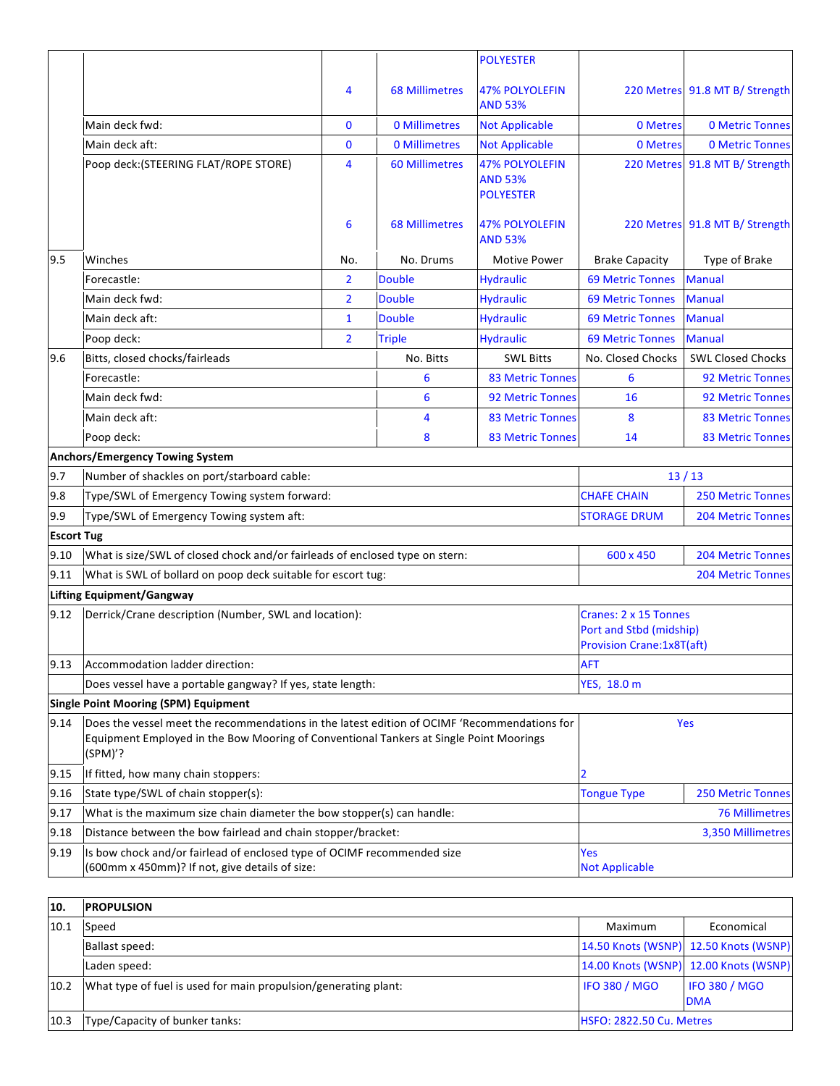|                   |                                                                                                                                                                                                   |                |                       | <b>POLYESTER</b>                                            |                                                                                      |                                |
|-------------------|---------------------------------------------------------------------------------------------------------------------------------------------------------------------------------------------------|----------------|-----------------------|-------------------------------------------------------------|--------------------------------------------------------------------------------------|--------------------------------|
|                   |                                                                                                                                                                                                   | 4              | <b>68 Millimetres</b> | <b>47% POLYOLEFIN</b><br><b>AND 53%</b>                     |                                                                                      | 220 Metres 91.8 MT B/ Strength |
|                   | Main deck fwd:                                                                                                                                                                                    | 0              | 0 Millimetres         | <b>Not Applicable</b>                                       | 0 Metres                                                                             | <b>0 Metric Tonnes</b>         |
|                   | Main deck aft:                                                                                                                                                                                    | $\mathbf{0}$   | 0 Millimetres         | <b>Not Applicable</b>                                       | 0 Metres                                                                             | <b>0 Metric Tonnes</b>         |
|                   | Poop deck: (STEERING FLAT/ROPE STORE)                                                                                                                                                             | 4              | <b>60 Millimetres</b> | <b>47% POLYOLEFIN</b><br><b>AND 53%</b><br><b>POLYESTER</b> |                                                                                      | 220 Metres 91.8 MT B/ Strength |
|                   |                                                                                                                                                                                                   | 6              | <b>68 Millimetres</b> | <b>47% POLYOLEFIN</b><br><b>AND 53%</b>                     |                                                                                      | 220 Metres 91.8 MT B/ Strength |
| 9.5               | Winches                                                                                                                                                                                           | No.            | No. Drums             | Motive Power                                                | <b>Brake Capacity</b>                                                                | Type of Brake                  |
|                   | Forecastle:                                                                                                                                                                                       | $\overline{2}$ | <b>Double</b>         | <b>Hydraulic</b>                                            | <b>69 Metric Tonnes</b>                                                              | <b>Manual</b>                  |
|                   | Main deck fwd:                                                                                                                                                                                    | $\overline{2}$ | <b>Double</b>         | <b>Hydraulic</b>                                            | <b>69 Metric Tonnes</b>                                                              | <b>Manual</b>                  |
|                   | Main deck aft:                                                                                                                                                                                    | $\mathbf{1}$   | <b>Double</b>         | <b>Hydraulic</b>                                            | <b>69 Metric Tonnes</b>                                                              | <b>Manual</b>                  |
|                   | Poop deck:                                                                                                                                                                                        | $\overline{2}$ | <b>Triple</b>         | <b>Hydraulic</b>                                            | <b>69 Metric Tonnes</b>                                                              | <b>Manual</b>                  |
| 9.6               | Bitts, closed chocks/fairleads                                                                                                                                                                    |                | No. Bitts             | <b>SWL Bitts</b>                                            | No. Closed Chocks                                                                    | <b>SWL Closed Chocks</b>       |
|                   | Forecastle:                                                                                                                                                                                       |                | 6                     | <b>83 Metric Tonnes</b>                                     | 6                                                                                    | 92 Metric Tonnes               |
|                   | Main deck fwd:                                                                                                                                                                                    |                | $6\phantom{1}6$       | 92 Metric Tonnes                                            | 16                                                                                   | <b>92 Metric Tonnes</b>        |
|                   | Main deck aft:                                                                                                                                                                                    |                | 4                     | <b>83 Metric Tonnes</b>                                     | 8                                                                                    | <b>83 Metric Tonnes</b>        |
|                   | Poop deck:                                                                                                                                                                                        |                | 8                     | <b>83 Metric Tonnes</b>                                     | 14                                                                                   | <b>83 Metric Tonnes</b>        |
|                   | <b>Anchors/Emergency Towing System</b>                                                                                                                                                            |                |                       |                                                             |                                                                                      |                                |
| 9.7               | Number of shackles on port/starboard cable:                                                                                                                                                       |                |                       |                                                             |                                                                                      | 13/13                          |
| 9.8               | Type/SWL of Emergency Towing system forward:                                                                                                                                                      |                |                       |                                                             | <b>CHAFE CHAIN</b>                                                                   | <b>250 Metric Tonnes</b>       |
| 9.9               | Type/SWL of Emergency Towing system aft:                                                                                                                                                          |                |                       |                                                             | <b>STORAGE DRUM</b>                                                                  | <b>204 Metric Tonnes</b>       |
| <b>Escort Tug</b> |                                                                                                                                                                                                   |                |                       |                                                             |                                                                                      |                                |
| 9.10              | What is size/SWL of closed chock and/or fairleads of enclosed type on stern:                                                                                                                      |                |                       | 600 x 450                                                   | <b>204 Metric Tonnes</b>                                                             |                                |
| 9.11              | What is SWL of bollard on poop deck suitable for escort tug:                                                                                                                                      |                |                       |                                                             |                                                                                      | <b>204 Metric Tonnes</b>       |
|                   | Lifting Equipment/Gangway                                                                                                                                                                         |                |                       |                                                             |                                                                                      |                                |
| 9.12              | Derrick/Crane description (Number, SWL and location):                                                                                                                                             |                |                       |                                                             | Cranes: 2 x 15 Tonnes<br>Port and Stbd (midship)<br><b>Provision Crane:1x8T(aft)</b> |                                |
| 9.13              | Accommodation ladder direction:                                                                                                                                                                   |                |                       |                                                             | <b>AFT</b>                                                                           |                                |
|                   | Does vessel have a portable gangway? If yes, state length:                                                                                                                                        |                |                       |                                                             | YES, 18.0 m                                                                          |                                |
|                   | <b>Single Point Mooring (SPM) Equipment</b>                                                                                                                                                       |                |                       |                                                             |                                                                                      |                                |
| 9.14              | Does the vessel meet the recommendations in the latest edition of OCIMF 'Recommendations for<br>Equipment Employed in the Bow Mooring of Conventional Tankers at Single Point Moorings<br>(SPM)'? |                |                       |                                                             | Yes                                                                                  |                                |
| 9.15              | If fitted, how many chain stoppers:                                                                                                                                                               |                |                       | $\overline{2}$                                              |                                                                                      |                                |
| 9.16              | State type/SWL of chain stopper(s):                                                                                                                                                               |                |                       | <b>Tongue Type</b>                                          | <b>250 Metric Tonnes</b>                                                             |                                |
| 9.17              | What is the maximum size chain diameter the bow stopper(s) can handle:                                                                                                                            |                |                       |                                                             |                                                                                      | <b>76 Millimetres</b>          |
| 9.18              | Distance between the bow fairlead and chain stopper/bracket:                                                                                                                                      |                |                       |                                                             |                                                                                      | 3,350 Millimetres              |
| 9.19              | Is bow chock and/or fairlead of enclosed type of OCIMF recommended size<br>(600mm x 450mm)? If not, give details of size:                                                                         |                |                       | Yes<br><b>Not Applicable</b>                                |                                                                                      |                                |

| 10.  | <b>IPROPULSION</b>                                              |                                 |                                       |
|------|-----------------------------------------------------------------|---------------------------------|---------------------------------------|
| 10.1 | Speed                                                           | Maximum                         | Economical                            |
|      | Ballast speed:                                                  |                                 | 14.50 Knots (WSNP) 12.50 Knots (WSNP) |
|      | Laden speed:                                                    |                                 | 14.00 Knots (WSNP) 12.00 Knots (WSNP) |
| 10.2 | What type of fuel is used for main propulsion/generating plant: | <b>IFO 380 / MGO</b>            | <b>IFO 380 / MGO</b><br><b>DMA</b>    |
| 10.3 | Type/Capacity of bunker tanks:                                  | <b>HSFO: 2822.50 Cu. Metres</b> |                                       |